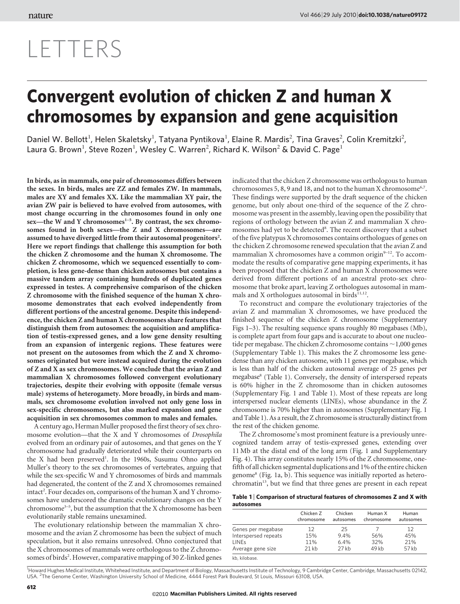## Vol 466| 29 July 2010| [doi:10.1038/nature09172](www.nature.com/doifinder/10.1038/nature09172)

# LETTERS

# Convergent evolution of chicken Z and human X chromosomes by expansion and gene acquisition

Daniel W. Bellott<sup>1</sup>, Helen Skaletsky<sup>1</sup>, Tatyana Pyntikova<sup>1</sup>, Elaine R. Mardis<sup>2</sup>, Tina Graves<sup>2</sup>, Colin Kremitzki<sup>2</sup>, Laura G. Brown<sup>1</sup>, Steve Rozen<sup>1</sup>, Wesley C. Warren<sup>2</sup>, Richard K. Wilson<sup>2</sup> & David C. Page<sup>1</sup>

In birds, as in mammals, one pair of chromosomes differs between the sexes. In birds, males are ZZ and females ZW. In mammals, males are XY and females XX. Like the mammalian XY pair, the avian ZW pair is believed to have evolved from autosomes, with most change occurring in the chromosomes found in only one sex—the W and Y chromosomes<sup>1-5</sup>. By contrast, the sex chromosomes found in both sexes—the Z and X chromosomes—are assumed to have diverged little from their autosomal progenitors<sup>2</sup>. Here we report findings that challenge this assumption for both the chicken Z chromosome and the human X chromosome. The chicken Z chromosome, which we sequenced essentially to completion, is less gene-dense than chicken autosomes but contains a massive tandem array containing hundreds of duplicated genes expressed in testes. A comprehensive comparison of the chicken Z chromosome with the finished sequence of the human X chromosome demonstrates that each evolved independently from different portions of the ancestral genome. Despite this independence, the chicken Z and human X chromosomes share features that distinguish them from autosomes: the acquisition and amplification of testis-expressed genes, and a low gene density resulting from an expansion of intergenic regions. These features were not present on the autosomes from which the Z and X chromosomes originated but were instead acquired during the evolution of Z and X as sex chromosomes. We conclude that the avian Z and mammalian X chromosomes followed convergent evolutionary trajectories, despite their evolving with opposite (female versus male) systems of heterogamety. More broadly, in birds and mammals, sex chromosome evolution involved not only gene loss in sex-specific chromosomes, but also marked expansion and gene acquisition in sex chromosomes common to males and females.

A century ago, Herman Muller proposed the first theory of sex chromosome evolution—that the X and Y chromosomes of Drosophila evolved from an ordinary pair of autosomes, and that genes on the Y chromosome had gradually deteriorated while their counterparts on the X had been preserved<sup>1</sup>. In the 1960s, Susumu Ohno applied Muller's theory to the sex chromosomes of vertebrates, arguing that while the sex-specific W and Y chromosomes of birds and mammals had degenerated, the content of the Z and X chromosomes remained intact<sup>2</sup>. Four decades on, comparisons of the human X and Y chromosomes have underscored the dramatic evolutionary changes on the Y chromosome<sup>3-5</sup>, but the assumption that the X chromosome has been evolutionarily stable remains unexamined.

The evolutionary relationship between the mammalian X chromosome and the avian Z chromosome has been the subject of much speculation, but it also remains unresolved. Ohno conjectured that the X chromosomes of mammals were orthologous to the Z chromosomes of birds<sup>2</sup>. However, comparative mapping of 30 Z-linked genes

indicated that the chicken Z chromosome was orthologous to human chromosomes 5, 8, 9 and 18, and not to the human X chromosome<sup>6,7</sup>. These findings were supported by the draft sequence of the chicken genome, but only about one-third of the sequence of the Z chromosome was present in the assembly, leaving open the possibility that regions of orthology between the avian Z and mammalian X chromosomes had yet to be detected<sup>8</sup>. The recent discovery that a subset of the five platypus X chromosomes contains orthologues of genes on the chicken Z chromosome renewed speculation that the avian Z and mammalian X chromosomes have a common origin $9-12$ . To accommodate the results of comparative gene mapping experiments, it has been proposed that the chicken Z and human X chromosomes were derived from different portions of an ancestral proto-sex chromosome that broke apart, leaving Z orthologues autosomal in mammals and X orthologues autosomal in birds $11,12$ .

To reconstruct and compare the evolutionary trajectories of the avian Z and mammalian X chromosomes, we have produced the finished sequence of the chicken Z chromosome (Supplementary Figs 1–3). The resulting sequence spans roughly 80 megabases (Mb), is complete apart from four gaps and is accurate to about one nucleotide per megabase. The chicken Z chromosome contains  $\sim$  1,000 genes (Supplementary Table 1). This makes the Z chromosome less genedense than any chicken autosome, with 11 genes per megabase, which is less than half of the chicken autosomal average of 25 genes per megabase<sup>8</sup> (Table 1). Conversely, the density of interspersed repeats is 60% higher in the Z chromosome than in chicken autosomes (Supplementary Fig. 1 and Table 1). Most of these repeats are long interspersed nuclear elements (LINEs), whose abundance in the Z chromosome is 70% higher than in autosomes (Supplementary Fig. 1 and Table 1). As a result, the Z chromosome is structurally distinct from the rest of the chicken genome.

The Z chromosome's most prominent feature is a previously unrecognized tandem array of testis-expressed genes, extending over 11 Mb at the distal end of the long arm (Fig. 1 and Supplementary Fig. 4). This array constitutes nearly 15% of the Z chromosome, onefifth of all chicken segmental duplications and 1% of the entire chicken genome8 (Fig. 1a, b). This sequence was initially reported as heterochromatin<sup>13</sup>, but we find that three genes are present in each repeat

Table 1 <sup>|</sup> Comparison of structural features of chromosomes Z and X with autosomes

|                      | Chicken Z<br>chromosome | Chicken<br>autosomes | Human X<br>chromosome | Human<br>autosomes |
|----------------------|-------------------------|----------------------|-----------------------|--------------------|
| Genes per megabase   | 12                      | 25                   |                       | 12                 |
| Interspersed repeats | 15%                     | 94%                  | 56%                   | 45%                |
| <b>LINEs</b>         | 11%                     | 6.4%                 | 32%                   | 21%                |
| Average gene size    | 21kb                    | $27$ kb              | 49 kb                 | 57 kb              |
| kh. kilobase.        |                         |                      |                       |                    |

<sup>1</sup>Howard Hughes Medical Institute, Whitehead Institute, and Department of Biology, Massachusetts Institute of Technology, 9 Cambridge Center, Cambridge, Massachusetts 02142, USA. <sup>2</sup>The Genome Center, Washington University School of Medicine, 4444 Forest Park Boulevard, St Louis, Missouri 63108, USA.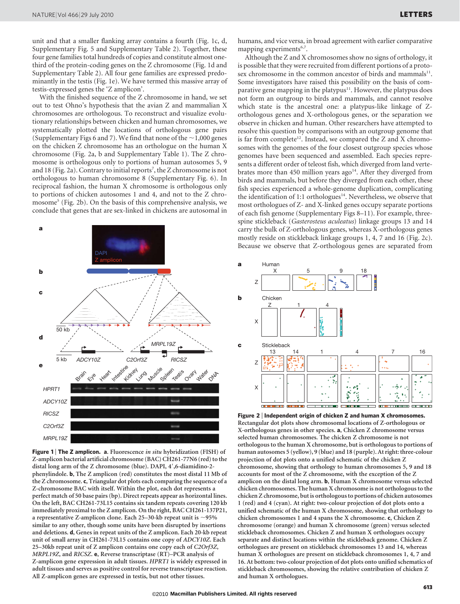unit and that a smaller flanking array contains a fourth (Fig. 1c, d, Supplementary Fig. 5 and Supplementary Table 2). Together, these four gene families total hundreds of copies and constitute almost onethird of the protein-coding genes on the Z chromosome (Fig. 1d and Supplementary Table 2). All four gene families are expressed predominantly in the testis (Fig. 1e). We have termed this massive array of testis-expressed genes the 'Z amplicon'.

With the finished sequence of the Z chromosome in hand, we set out to test Ohno's hypothesis that the avian Z and mammalian X chromosomes are orthologous. To reconstruct and visualize evolutionary relationships between chicken and human chromosomes, we systematically plotted the locations of orthologous gene pairs (Supplementary Figs 6 and 7). We find that none of the  $\sim$  1,000 genes on the chicken Z chromosome has an orthologue on the human X chromosome (Fig. 2a, b and Supplementary Table 1). The Z chromosome is orthologous only to portions of human autosomes 5, 9 and 18 (Fig. 2a). Contrary to initial reports<sup>7</sup>, the Z chromosome is not orthologous to human chromosome 8 (Supplementary Fig. 6). In reciprocal fashion, the human X chromosome is orthologous only to portions of chicken autosomes 1 and 4, and not to the Z chromosome<sup>5</sup> (Fig. 2b). On the basis of this comprehensive analysis, we conclude that genes that are sex-linked in chickens are autosomal in



Figure 1 | The Z amplicon. a. Fluorescence in situ hybridization (FISH) of Z-amplicon bacterial artificial chromosome (BAC) CH261-77N6 (red) to the distal long arm of the Z chromosome (blue). DAPI, 4',6-diamidino-2phenylindole. b, The Z amplicon (red) constitutes the most distal 11 Mb of the Z chromosome. c, Triangular dot plots each comparing the sequence of a Z-chromosome BAC with itself. Within the plot, each dot represents a perfect match of 50 base pairs (bp). Direct repeats appear as horizontal lines. On the left, BAC CH261-73L15 contains six tandem repeats covering 120 kb immediately proximal to the Z amplicon. On the right, BAC CH261-137P21, a representative Z-amplicon clone. Each 25–30-kb repeat unit is  $\sim$ 95% similar to any other, though some units have been disrupted by insertions and deletions. d, Genes in repeat units of the Z amplicon. Each 20-kb repeat unit of small array in CH261-73L15 contains one copy of ADCY10Z. Each 25–30kb repeat unit of Z amplicon contains one copy each of C2Orf3Z, MRPL19Z, and RICSZ. e, Reverse transcriptase (RT)–PCR analysis of Z-amplicon gene expression in adult tissues. HPRT1 is widely expressed in adult tissues and serves as positive control for reverse transcriptase reaction. All Z-amplicon genes are expressed in testis, but not other tissues.

humans, and vice versa, in broad agreement with earlier comparative mapping experiments<sup>6,7</sup>.

Although the Z and X chromosomes show no signs of orthology, it is possible that they were recruited from different portions of a protosex chromosome in the common ancestor of birds and mammals<sup>11</sup>. Some investigators have raised this possibility on the basis of comparative gene mapping in the platypus<sup>11</sup>. However, the platypus does not form an outgroup to birds and mammals, and cannot resolve which state is the ancestral one: a platypus-like linkage of Zorthologous genes and X-orthologous genes, or the separation we observe in chicken and human. Other researchers have attempted to resolve this question by comparisons with an outgroup genome that is far from complete<sup>12</sup>. Instead, we compared the Z and X chromosomes with the genomes of the four closest outgroup species whose genomes have been sequenced and assembled. Each species represents a different order of teleost fish, which diverged from land vertebrates more than 450 million years ago<sup>14</sup>. After they diverged from birds and mammals, but before they diverged from each other, these fish species experienced a whole-genome duplication, complicating the identification of 1:1 orthologues<sup>14</sup>. Nevertheless, we observe that most orthologues of Z- and X-linked genes occupy separate portions of each fish genome (Supplementary Figs 8–11). For example, threespine stickleback (Gasterosteus aculeatus) linkage groups 13 and 14 carry the bulk of Z-orthologous genes, whereas X-orthologous genes mostly reside on stickleback linkage groups 1, 4, 7 and 16 (Fig. 2c). Because we observe that Z-orthologous genes are separated from



Figure 2 <sup>|</sup> Independent origin of chicken Z and human X chromosomes. Rectangular dot plots show chromosomal locations of Z-orthologous or X-orthologous genes in other species. a, Chicken Z chromosome versus selected human chromosomes. The chicken Z chromosome is not orthologous to the human X chromosome, but is orthologous to portions of human autosomes 5 (yellow), 9 (blue) and 18 (purple). At right: three-colour projection of dot plots onto a unified schematic of the chicken Z chromosome, showing that orthology to human chromosomes 5, 9 and 18 accounts for most of the Z chromosome, with the exception of the Z amplicon on the distal long arm. b, Human X chromosome versus selected chicken chromosomes. The human X chromosome is not orthologous to the chicken Z chromosome, but is orthologous to portions of chicken autosomes 1 (red) and 4 (cyan). At right: two-colour projection of dot plots onto a unified schematic of the human X chromosome, showing that orthology to chicken chromosomes 1 and 4 spans the X chromosome. c, Chicken Z chromosome (orange) and human X chromosome (green) versus selected stickleback chromosomes. Chicken Z and human X orthologues occupy separate and distinct locations within the stickleback genome. Chicken Z orthologues are present on stickleback chromosomes 13 and 14, whereas human X orthologues are present on stickleback chromosomes 1, 4, 7 and 16. At bottom: two-colour projection of dot plots onto unified schematics of stickleback chromosomes, showing the relative contribution of chicken Z and human X orthologues.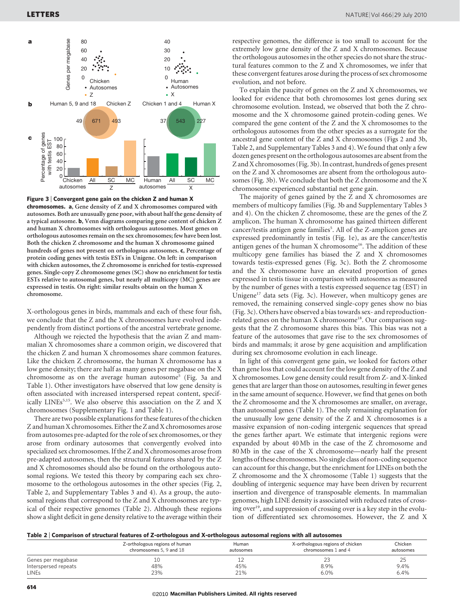

Figure 3 <sup>|</sup> Convergent gene gain on the chicken Z and human X chromosomes. a, Gene density of Z and X chromosomes compared with autosomes. Both are unusually gene poor, with about half the gene density of a typical autosome. b, Venn diagrams comparing gene content of chicken Z and human X chromosomes with orthologous autosomes. Most genes on orthologous autosomes remain on the sex chromosomes; few have been lost. Both the chicken Z chromosome and the human X chromosome gained hundreds of genes not present on orthologous autosomes. c, Percentage of protein coding genes with testis ESTs in Unigene. On left: in comparison with chicken autosomes, the Z chromosome is enriched for testis-expressed genes. Single-copy Z chromosome genes (SC) show no enrichment for testis ESTs relative to autosomal genes, but nearly all multicopy (MC) genes are expressed in testis. On right: similar results obtain on the human X chromosome.

X-orthologous genes in birds, mammals and each of these four fish, we conclude that the Z and the X chromosomes have evolved independently from distinct portions of the ancestral vertebrate genome.

Although we rejected the hypothesis that the avian Z and mammalian X chromosomes share a common origin, we discovered that the chicken Z and human X chromosomes share common features. Like the chicken Z chromosome, the human X chromosome has a low gene density; there are half as many genes per megabase on the X chromosome as on the average human autosome<sup>5</sup> (Fig. 3a and Table 1). Other investigators have observed that low gene density is often associated with increased interspersed repeat content, specifically LINEs<sup>5,15</sup>. We also observe this association on the Z and X chromosomes (Supplementary Fig. 1 and Table 1).

There are two possible explanations for these features of the chicken Z and human X chromosomes. Either the Z and X chromosomes arose from autosomes pre-adapted for the role of sex chromosomes, or they arose from ordinary autosomes that convergently evolved into specialized sex chromosomes. If the Z and X chromosomes arose from pre-adapted autosomes, then the structural features shared by the Z and X chromosomes should also be found on the orthologous autosomal regions. We tested this theory by comparing each sex chromosome to the orthologous autosomes in the other species (Fig. 2, Table 2, and Supplementary Tables 3 and 4). As a group, the autosomal regions that correspond to the Z and X chromosomes are typical of their respective genomes (Table 2). Although these regions show a slight deficit in gene density relative to the average within their respective genomes, the difference is too small to account for the extremely low gene density of the Z and X chromosomes. Because the orthologous autosomes in the other species do not share the structural features common to the Z and X chromosomes, we infer that these convergent features arose during the process of sex chromosome evolution, and not before.

To explain the paucity of genes on the Z and X chromosomes, we looked for evidence that both chromosomes lost genes during sex chromosome evolution. Instead, we observed that both the Z chromosome and the X chromosome gained protein-coding genes. We compared the gene content of the Z and the X chromosomes to the orthologous autosomes from the other species as a surrogate for the ancestral gene content of the Z and X chromosomes (Figs 2 and 3b, Table 2, and Supplementary Tables 3 and 4). We found that only a few dozen genes present on the orthologous autosomes are absent from the Z and X chromosomes (Fig. 3b). In contrast, hundreds of genes present on the Z and X chromosomes are absent from the orthologous autosomes (Fig. 3b). We conclude that both the Z chromosome and the X chromosome experienced substantial net gene gain.

The majority of genes gained by the Z and X chromosomes are members of multicopy families (Fig. 3b and Supplementary Tables 3 and 4). On the chicken Z chromosome, these are the genes of the Z amplicon. The human X chromosome has gained thirteen different cancer/testis antigen gene families<sup>5</sup>. All of the Z-amplicon genes are expressed predominantly in testis (Fig. 1e), as are the cancer/testis antigen genes of the human X chromosome<sup>16</sup>. The addition of these multicopy gene families has biased the Z and X chromosomes towards testis-expressed genes (Fig. 3c). Both the Z chromosome and the X chromosome have an elevated proportion of genes expressed in testis tissue in comparison with autosomes as measured by the number of genes with a testis expressed sequence tag (EST) in Unigene<sup>17</sup> data sets (Fig. 3c). However, when multicopy genes are removed, the remaining conserved single-copy genes show no bias (Fig. 3c). Others have observed a bias towards sex- and reproductionrelated genes on the human X chromosome<sup>18</sup>. Our comparison suggests that the Z chromosome shares this bias. This bias was not a feature of the autosomes that gave rise to the sex chromosomes of birds and mammals; it arose by gene acquisition and amplification during sex chromosome evolution in each lineage.

In light of this convergent gene gain, we looked for factors other than gene loss that could account for the low gene density of the Z and X chromosomes. Low gene density could result from Z- and X-linked genes that are larger than those on autosomes, resulting in fewer genes in the same amount of sequence. However, we find that genes on both the Z chromosome and the X chromosomes are smaller, on average, than autosomal genes (Table 1). The only remaining explanation for the unusually low gene density of the Z and X chromosomes is a massive expansion of non-coding intergenic sequences that spread the genes farther apart. We estimate that intergenic regions were expanded by about 40 Mb in the case of the Z chromosome and 80 Mb in the case of the X chromosome—nearly half the present lengths of these chromosomes. No single class of non-coding sequence can account for this change, but the enrichment for LINEs on both the Z chromosome and the X chromosome (Table 1) suggests that the doubling of intergenic sequence may have been driven by recurrent insertion and divergence of transposable elements. In mammalian genomes, high LINE density is associated with reduced rates of crossing over<sup>19</sup>, and suppression of crossing over is a key step in the evolution of differentiated sex chromosomes. However, the Z and X

|  |  |  | Table 2   Comparison of structural features of Z-orthologous and X-orthologous autosomal regions with all autosomes |
|--|--|--|---------------------------------------------------------------------------------------------------------------------|
|  |  |  |                                                                                                                     |

|                      | Z-orthologous regions of human<br>chromosomes 5, 9 and 18 | Human<br>autosomes | X-orthologous regions of chicken<br>chromosomes 1 and 4 | Chicken<br>autosomes |
|----------------------|-----------------------------------------------------------|--------------------|---------------------------------------------------------|----------------------|
| Genes per megabase   | 10                                                        |                    |                                                         | 25                   |
| Interspersed repeats | 48%                                                       | 45%                | 8.9%                                                    | 9.4%                 |
| <b>LINEs</b>         | 23%                                                       | 21%                | 6.0%                                                    | 6.4%                 |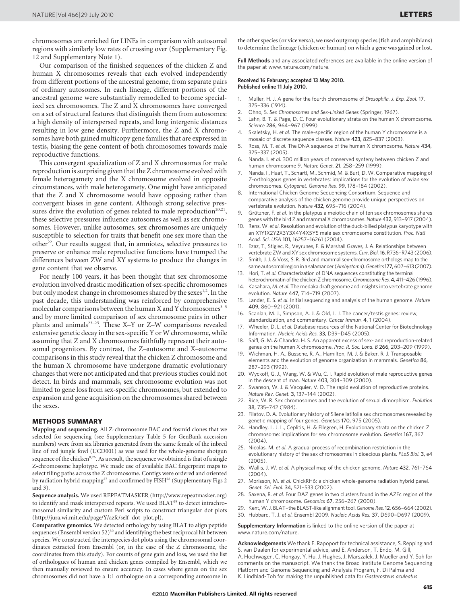chromosomes are enriched for LINEs in comparison with autosomal regions with similarly low rates of crossing over (Supplementary Fig. 12 and Supplementary Note 1).

Our comparison of the finished sequences of the chicken Z and human X chromosomes reveals that each evolved independently from different portions of the ancestral genome, from separate pairs of ordinary autosomes. In each lineage, different portions of the ancestral genome were substantially remodelled to become specialized sex chromosomes. The Z and X chromosomes have converged on a set of structural features that distinguish them from autosomes: a high density of interspersed repeats, and long intergenic distances resulting in low gene density. Furthermore, the Z and X chromosomes have both gained multicopy gene families that are expressed in testis, biasing the gene content of both chromosomes towards male reproductive functions.

This convergent specialization of Z and X chromosomes for male reproduction is surprising given that the Z chromosome evolved with female heterogamety and the X chromosome evolved in opposite circumstances, with male heterogamety. One might have anticipated that the Z and X chromosome would have opposing rather than convergent biases in gene content. Although strong selective pressures drive the evolution of genes related to male reproduction<sup>20,21</sup>, these selective pressures influence autosomes as well as sex chromosomes. However, unlike autosomes, sex chromosomes are uniquely susceptible to selection for traits that benefit one sex more than the other<sup>22</sup>. Our results suggest that, in amniotes, selective pressures to preserve or enhance male reproductive functions have trumped the differences between ZW and XY systems to produce the changes in gene content that we observe.

For nearly 100 years, it has been thought that sex chromosome evolution involved drastic modification of sex-specific chromosomes but only modest change in chromosomes shared by the sexes<sup>1,2</sup>. In the past decade, this understanding was reinforced by comprehensive molecular comparisons between the human X and Y chromosomes $3-5$ and by more limited comparison of sex chromosome pairs in other plants and animals<sup>23-25</sup>. These X-Y or Z-W comparisons revealed extensive genetic decay in the sex-specific Y or W chromosome, while assuming that Z and X chromosomes faithfully represent their autosomal progenitors. By contrast, the Z–autosome and X–autosome comparisons in this study reveal that the chicken Z chromosome and the human X chromosome have undergone dramatic evolutionary changes that were not anticipated and that previous studies could not detect. In birds and mammals, sex chromosome evolution was not limited to gene loss from sex-specific chromosomes, but extended to expansion and gene acquisition on the chromosomes shared between the sexes.

#### METHODS SUMMARY

Mapping and sequencing. All Z-chromosome BAC and fosmid clones that we selected for sequencing (see Supplementary Table 5 for GenBank accession numbers) were from six libraries generated from the same female of the inbred line of red jungle fowl (UCD001) as was used for the whole-genome shotgun sequence of the chicken<sup>8,26</sup>. As a result, the sequence we obtained is that of a single Z-chromosome haplotype. We made use of available BAC fingerprint maps to select tiling paths across the Z chromosome. Contigs were ordered and oriented by radiation hybrid mapping<sup>27</sup> and confirmed by FISH<sup>28</sup> (Supplementary Figs 2 and 3).

Sequence analysis. We used REPEATMASKER [\(http://www.repeatmasker.org\)](http://www.repeatmasker.org) to identify and mask interspersed repeats. We used BLAT<sup>29</sup> to detect intrachromosomal similarity and custom Perl scripts to construct triangular dot plots ([http://jura.wi.mit.edu/page/Y/azfc/self\\_dot\\_plot.pl](http://jura.wi.mit.edu/page/Y/azfc/self_dot_plot.pl)).

Comparative genomics. We detected orthology by using BLAT to align peptide sequences (Ensembl version 52)<sup>30</sup> and identifying the best reciprocal hit between species. We constructed the interspecies dot plots using the chromosomal coordinates extracted from Ensembl (or, in the case of the Z chromosome, the coordinates from this study). For counts of gene gain and loss, we used the list of orthologues of human and chicken genes compiled by Ensembl, which we then manually reviewed to ensure accuracy. In cases where genes on the sex chromosomes did not have a 1:1 orthologue on a corresponding autosome in

the other species (or vice versa), we used outgroup species (fish and amphibians) to determine the lineage (chicken or human) on which a gene was gained or lost.

Full Methods and any associated references are available in the online version of the paper at<www.nature.com/nature>.

#### Received 16 February; accepted 13 May 2010. Published online 11 July 2010.

- 1. Muller, H. J. A gene for the fourth chromosome of Drosophila. J. Exp. Zool. 17, 325–336 (1914).
- 2. Ohno, S. Sex Chromosomes and Sex-Linked Genes (Springer, 1967).
- 3. Lahn, B. T. & Page, D. C. Four evolutionary strata on the human X chromosome. Science 286, 964–967 (1999).
- Skaletsky, H. et al. The male-specific region of the human Y chromosome is a mosaic of discrete sequence classes. Nature 423, 825–837 (2003).
- 5. Ross, M. T. et al. The DNA sequence of the human X chromosome. Nature 434, 325–337 (2005).
- 6. Nanda, I. et al. 300 million years of conserved synteny between chicken Z and human chromosome 9. Nature Genet. 21, 258–259 (1999).
- 7. Nanda, I., Haaf, T., Schartl, M., Schmid, M. & Burt, D. W. Comparative mapping of Z-orthologous genes in vertebrates: implications for the evolution of avian sex chromosomes. Cytogenet. Genome Res. 99, 178–184 (2002).
- International Chicken Genome Sequencing Consortium. Sequence and comparative analysis of the chicken genome provide unique perspectives on vertebrate evolution. Nature 432, 695–716 (2004).
- Grützner, F. et al. In the platypus a meiotic chain of ten sex chromosomes shares genes with the bird Z and mammal X chromosomes. Nature 432, 913–917 (2004).
- 10. Rens, W. et al. Resolution and evolution of the duck-billed platypus karyotype with an X1Y1X2Y2X3Y3X4Y4X5Y5 male sex chromosome constitution. Proc. Natl Acad. Sci. USA 101, 16257–16261 (2004).
- 11. Ezaz, T., Stiglec, R., Veyrunes, F. & Marshall Graves, J. A. Relationships between vertebrate ZW and XY sex chromosome systems. Curr. Biol.16, R736–R743 (2006).
- Smith, J. J. & Voss, S. R. Bird and mammal sex-chromosome orthologs map to the same autosomal region in a salamander (Ambystoma). Genetics 177, 607-613 (2007).
- 13. Hori, T. et al. Characterization of DNA sequences constituting the terminal heterochromatin of the chicken Z chromosome. Chromosome Res. 4, 411-426 (1996).
- 14. Kasahara, M. et al. The medaka draft genome and insights into vertebrate genome evolution. Nature 447, 714–719 (2007).
- 15. Lander, E. S. et al. Initial sequencing and analysis of the human genome. Nature 409, 860–921 (2001).
- 16. Scanlan, M. J., Simpson, A. J. & Old, L. J. The cancer/testis genes: review, standardization, and commentary. Cancer Immun. 4, 1 (2004).
- 17. Wheeler, D. L. et al. Database resources of the National Center for Biotechnology Information. Nucleic Acids Res. 33, D39–D45 (2005).
- 18. Saifl, G. M. & Chandra, H. S. An apparent excess of sex- and reproduction-related genes on the human X chromosome. Proc. R. Soc. Lond. B 266, 203–209 (1999).
- 19. Wichman, H. A., Bussche, R. A., Hamilton, M. J. & Baker, R. J. Transposable elements and the evolution of genome organization in mammals. Genetica 86, 287–293 (1992).
- 20. Wyckoff, G. J., Wang, W. & Wu, C. I. Rapid evolution of male reproductive genes in the descent of man. Nature 403, 304–309 (2000).
- 21. Swanson, W. J. & Vacquier, V. D. The rapid evolution of reproductive proteins. Nature Rev. Genet. 3, 137–144 (2002).
- 22. Rice, W. R. Sex chromosomes and the evolution of sexual dimorphism. Evolution 38, 735–742 (1984).
- 23. Filatov, D. A. Evolutionary history of Silene latifolia sex chromosomes revealed by genetic mapping of four genes. Genetics 170, 975 (2005).
- 24. Handley, L. J. L., Ceplitis, H. & Ellegren, H. Evolutionary strata on the chicken Z chromosome: implications for sex chromosome evolution. Genetics 167, 367 (2004).
- 25. Nicolas, M. et al. A gradual process of recombination restriction in the evolutionary history of the sex chromosomes in dioecious plants. PLoS Biol. 3, e4 (2005).
- 26. Wallis, J. W. et al. A physical map of the chicken genome. Nature 432, 761–764 (2004).
- 27. Morisson, M. et al. ChickRH6: a chicken whole-genome radiation hybrid panel. Genet. Sel. Evol. 34, 521–533 (2002).
- 28. Saxena, R. et al. Four DAZ genes in two clusters found in the AZFc region of the human Y chromosome. Genomics 67, 256–267 (2000).
- 29. Kent, W. J. BLAT-the BLAST-like alignment tool. Genome Res. 12, 656-664 (2002).
- 30. Hubbard, T. J. et al. Ensembl 2009. Nucleic Acids Res. 37, D690–D697 (2009).

Supplementary Information is linked to the online version of the paper at <www.nature.com/nature>.

Acknowledgements We thank E. Rapoport for technical assistance, S. Repping and S. van Daalen for experimental advice, and E. Anderson, T. Endo, M. Gill, A. Hochwagen, C. Hongay, Y. Hu, J. Hughes, J. Marszalek, J. Mueller and Y. Soh for comments on the manuscript. We thank the Broad Institute Genome Sequencing Platform and Genome Sequencing and Analysis Program, F. Di Palma and K. Lindblad-Toh for making the unpublished data for Gasterosteus aculeatus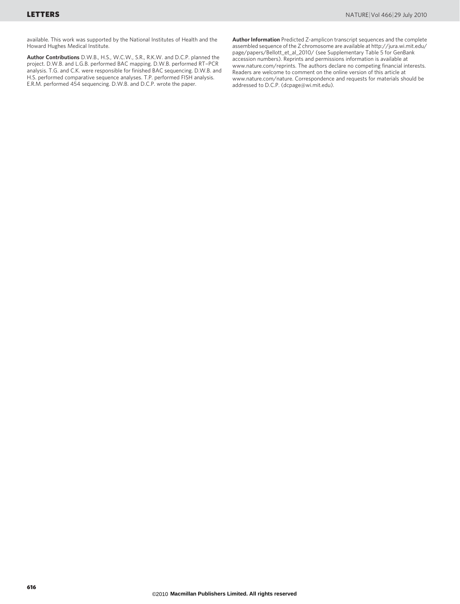available. This work was supported by the National Institutes of Health and the Howard Hughes Medical Institute.

Author Contributions D.W.B., H.S., W.C.W., S.R., R.K.W. and D.C.P. planned the project. D.W.B. and L.G.B. performed BAC mapping. D.W.B. performed RT–PCR analysis. T.G. and C.K. were responsible for finished BAC sequencing. D.W.B. and H.S. performed comparative sequence analyses. T.P. performed FISH analysis. E.R.M. performed 454 sequencing. D.W.B. and D.C.P. wrote the paper.

Author Information Predicted Z-amplicon transcript sequences and the complete assembled sequence of the Z chromosome are available at [http://jura.wi.mit.edu/](http://jura.wi.mit.edu/page/papers/Bellott_et_al_2010/) [page/papers/Bellott\\_et\\_al\\_2010/](http://jura.wi.mit.edu/page/papers/Bellott_et_al_2010/) (see Supplementary Table 5 for GenBank accession numbers). Reprints and permissions information is available at <www.nature.com/reprints>. The authors declare no competing financial interests. Readers are welcome to comment on the online version of this article at <www.nature.com/nature>. Correspondence and requests for materials should be addressed to D.C.P. [\(dcpage@wi.mit.edu\)](mailto:dcpage@wi.mit.edu).